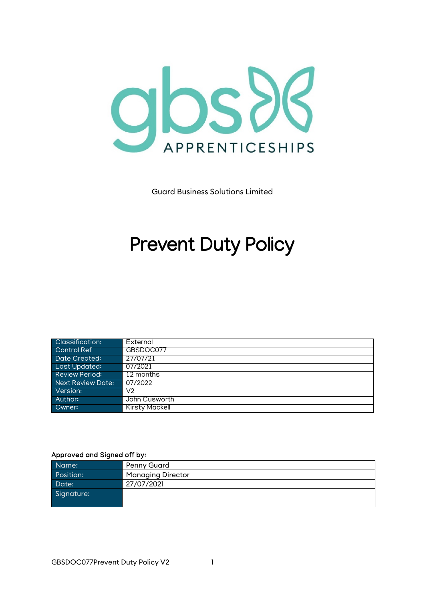

Guard Business Solutions Limited

# **Prevent Duty Policy**

| <b>Classification:</b> | External       |
|------------------------|----------------|
| Control Ref            | GBSDOC077      |
| Date Created:          | 27/07/21       |
| Last Updated:          | 07/2021        |
| <b>Review Period:</b>  | 12 months      |
| Next Review Date:      | 07/2022        |
| Version:               | V2             |
| Author:                | John Cusworth  |
| Owner:                 | Kirsty Mackell |

#### Approved and Signed off by:

| Name:      | Penny Guard              |
|------------|--------------------------|
| Position:  | <b>Managing Director</b> |
| Date:      | 27/07/2021               |
| Signature: |                          |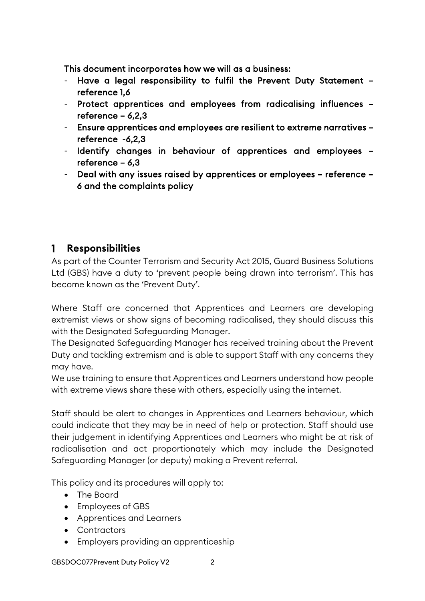This document incorporates how we will as a business:

- Have a legal responsibility to fulfil the Prevent Duty Statement reference 1,6
- Protect apprentices and employees from radicalising influences reference – 6,2,3
- Ensure apprentices and employees are resilient to extreme narratives reference -6,2,3
- Identify changes in behaviour of apprentices and employees reference – 6,3
- Deal with any issues raised by apprentices or employees reference 6 and the complaints policy

#### $\mathbf{1}$ **Responsibilities**

As part of the Counter Terrorism and Security Act 2015, Guard Business Solutions Ltd (GBS) have a duty to 'prevent people being drawn into terrorism'. This has become known as the 'Prevent Duty'.

Where Staff are concerned that Apprentices and Learners are developing extremist views or show signs of becoming radicalised, they should discuss this with the Designated Safeguarding Manager.

The Designated Safeguarding Manager has received training about the Prevent Duty and tackling extremism and is able to support Staff with any concerns they may have.

We use training to ensure that Apprentices and Learners understand how people with extreme views share these with others, especially using the internet.

Staff should be alert to changes in Apprentices and Learners behaviour, which could indicate that they may be in need of help or protection. Staff should use their judgement in identifying Apprentices and Learners who might be at risk of radicalisation and act proportionately which may include the Designated Safeguarding Manager (or deputy) making a Prevent referral.

This policy and its procedures will apply to:

- The Board
- Employees of GBS
- Apprentices and Learners
- Contractors
- Employers providing an apprenticeship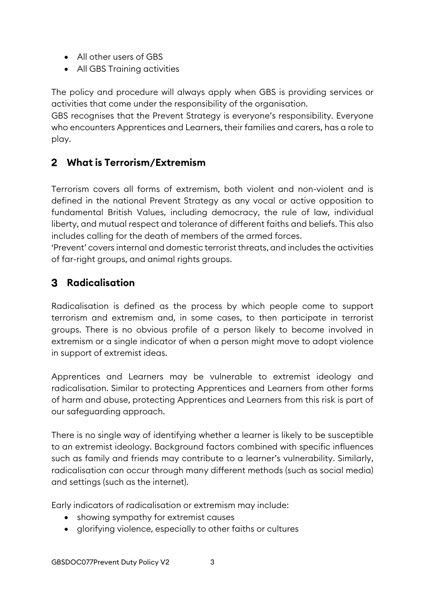- All other users of GBS
- All GBS Training activities

The policy and procedure will always apply when GBS is providing services or activities that come under the responsibility of the organisation.

GBS recognises that the Prevent Strategy is everyone's responsibility. Everyone who encounters Apprentices and Learners, their families and carers, has a role to play.

### **What is Terrorism/Extremism**

Terrorism covers all forms of extremism, both violent and non-violent and is defined in the national Prevent Strategy as any vocal or active opposition to fundamental British Values, including democracy, the rule of law, individual liberty, and mutual respect and tolerance of different faiths and beliefs. This also includes calling for the death of members of the armed forces.

'Prevent' covers internal and domestic terrorist threats, and includes the activities of far-right groups, and animal rights groups.

### **Radicalisation**

Radicalisation is defined as the process by which people come to support terrorism and extremism and, in some cases, to then participate in terrorist groups. There is no obvious profile of a person likely to become involved in extremism or a single indicator of when a person might move to adopt violence in support of extremist ideas.

Apprentices and Learners may be vulnerable to extremist ideology and radicalisation. Similar to protecting Apprentices and Learners from other forms of harm and abuse, protecting Apprentices and Learners from this risk is part of our safeguarding approach.

There is no single way of identifying whether a learner is likely to be susceptible to an extremist ideology. Background factors combined with specific influences such as family and friends may contribute to a learner's vulnerability. Similarly, radicalisation can occur through many different methods (such as social media) and settings (such as the internet).

Early indicators of radicalisation or extremism may include:

- showing sympathy for extremist causes
- glorifying violence, especially to other faiths or cultures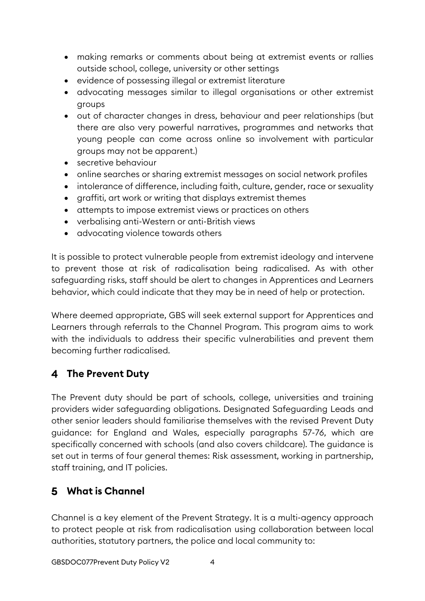- making remarks or comments about being at extremist events or rallies outside school, college, university or other settings
- evidence of possessing illegal or extremist literature
- advocating messages similar to illegal organisations or other extremist groups
- out of character changes in dress, behaviour and peer relationships (but there are also very powerful narratives, programmes and networks that young people can come across online so involvement with particular groups may not be apparent.)
- secretive behaviour
- online searches or sharing extremist messages on social network profiles
- intolerance of difference, including faith, culture, gender, race or sexuality
- graffiti, art work or writing that displays extremist themes
- attempts to impose extremist views or practices on others
- verbalising anti-Western or anti-British views
- advocating violence towards others

It is possible to protect vulnerable people from extremist ideology and intervene to prevent those at risk of radicalisation being radicalised. As with other safeguarding risks, staff should be alert to changes in Apprentices and Learners behavior, which could indicate that they may be in need of help or protection.

Where deemed appropriate, GBS will seek external support for Apprentices and Learners through referrals to the Channel Program. This program aims to work with the individuals to address their specific vulnerabilities and prevent them becoming further radicalised.

### **The Prevent Duty**

The Prevent duty should be part of schools, college, universities and training providers wider safeguarding obligations. Designated Safeguarding Leads and other senior leaders should familiarise themselves with the revised Prevent Duty guidance: for England and Wales, especially paragraphs 57-76, which are specifically concerned with schools (and also covers childcare). The guidance is set out in terms of four general themes: Risk assessment, working in partnership, staff training, and IT policies.

### **What is Channel**

Channel is a key element of the Prevent Strategy. It is a multi-agency approach to protect people at risk from radicalisation using collaboration between local authorities, statutory partners, the police and local community to: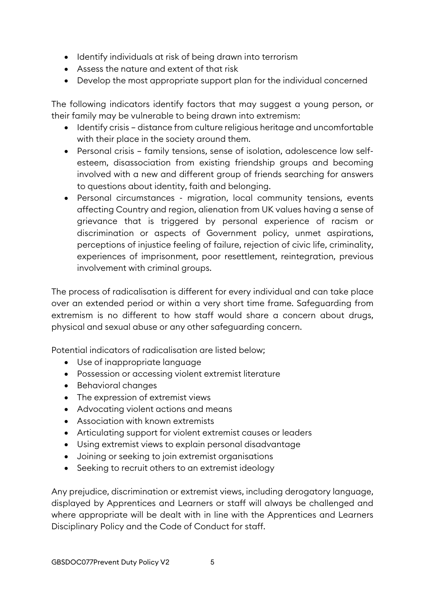- Identify individuals at risk of being drawn into terrorism
- Assess the nature and extent of that risk
- Develop the most appropriate support plan for the individual concerned

The following indicators identify factors that may suggest a young person, or their family may be vulnerable to being drawn into extremism:

- Identify crisis distance from culture religious heritage and uncomfortable with their place in the society around them.
- Personal crisis family tensions, sense of isolation, adolescence low selfesteem, disassociation from existing friendship groups and becoming involved with a new and different group of friends searching for answers to questions about identity, faith and belonging.
- Personal circumstances migration, local community tensions, events affecting Country and region, alienation from UK values having a sense of grievance that is triggered by personal experience of racism or discrimination or aspects of Government policy, unmet aspirations, perceptions of injustice feeling of failure, rejection of civic life, criminality, experiences of imprisonment, poor resettlement, reintegration, previous involvement with criminal groups.

The process of radicalisation is different for every individual and can take place over an extended period or within a very short time frame. Safeguarding from extremism is no different to how staff would share a concern about drugs, physical and sexual abuse or any other safeguarding concern.

Potential indicators of radicalisation are listed below;

- Use of inappropriate language
- Possession or accessing violent extremist literature
- Behavioral changes
- The expression of extremist views
- Advocating violent actions and means
- Association with known extremists
- Articulating support for violent extremist causes or leaders
- Using extremist views to explain personal disadvantage
- Joining or seeking to join extremist organisations
- Seeking to recruit others to an extremist ideology

Any prejudice, discrimination or extremist views, including derogatory language, displayed by Apprentices and Learners or staff will always be challenged and where appropriate will be dealt with in line with the Apprentices and Learners Disciplinary Policy and the Code of Conduct for staff.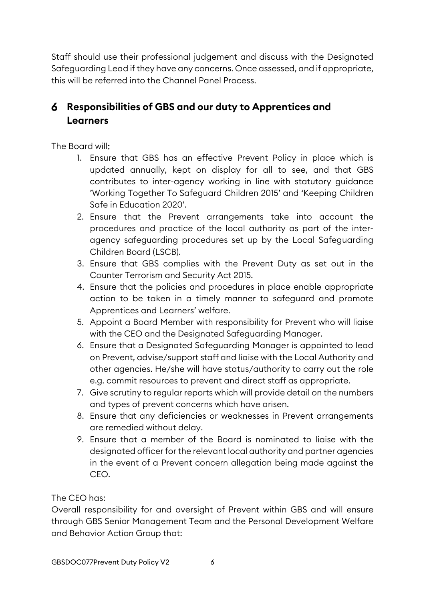Staff should use their professional judgement and discuss with the Designated Safeguarding Lead if they have any concerns. Once assessed, and if appropriate, this will be referred into the Channel Panel Process.

## **Responsibilities of GBS and our duty to Apprentices and Learners**

The Board will:

- 1. Ensure that GBS has an effective Prevent Policy in place which is updated annually, kept on display for all to see, and that GBS contributes to inter-agency working in line with statutory guidance 'Working Together To Safeguard Children 2015' and 'Keeping Children Safe in Education 2020'.
- 2. Ensure that the Prevent arrangements take into account the procedures and practice of the local authority as part of the interagency safeguarding procedures set up by the Local Safeguarding Children Board (LSCB).
- 3. Ensure that GBS complies with the Prevent Duty as set out in the Counter Terrorism and Security Act 2015.
- 4. Ensure that the policies and procedures in place enable appropriate action to be taken in a timely manner to safeguard and promote Apprentices and Learners' welfare.
- 5. Appoint a Board Member with responsibility for Prevent who will liaise with the CEO and the Designated Safeguarding Manager.
- 6. Ensure that a Designated Safeguarding Manager is appointed to lead on Prevent, advise/support staff and liaise with the Local Authority and other agencies. He/she will have status/authority to carry out the role e.g. commit resources to prevent and direct staff as appropriate.
- 7. Give scrutiny to regular reports which will provide detail on the numbers and types of prevent concerns which have arisen.
- 8. Ensure that any deficiencies or weaknesses in Prevent arrangements are remedied without delay.
- 9. Ensure that a member of the Board is nominated to liaise with the designated officer for the relevant local authority and partner agencies in the event of a Prevent concern allegation being made against the CEO.

The CEO has:

Overall responsibility for and oversight of Prevent within GBS and will ensure through GBS Senior Management Team and the Personal Development Welfare and Behavior Action Group that: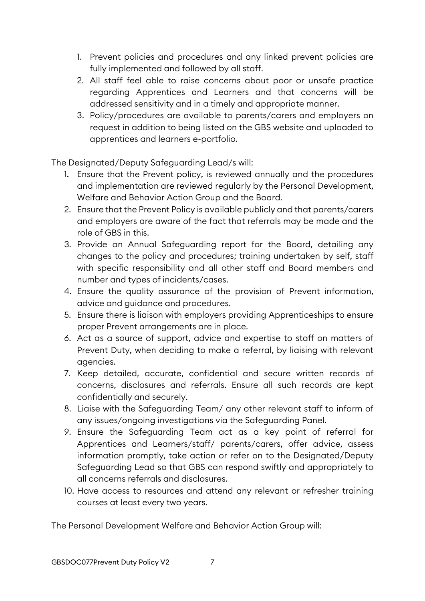- 1. Prevent policies and procedures and any linked prevent policies are fully implemented and followed by all staff.
- 2. All staff feel able to raise concerns about poor or unsafe practice regarding Apprentices and Learners and that concerns will be addressed sensitivity and in a timely and appropriate manner.
- 3. Policy/procedures are available to parents/carers and employers on request in addition to being listed on the GBS website and uploaded to apprentices and learners e-portfolio.

The Designated/Deputy Safeguarding Lead/s will:

- 1. Ensure that the Prevent policy, is reviewed annually and the procedures and implementation are reviewed regularly by the Personal Development, Welfare and Behavior Action Group and the Board.
- 2. Ensure that the Prevent Policy is available publicly and that parents/carers and employers are aware of the fact that referrals may be made and the role of GBS in this.
- 3. Provide an Annual Safeguarding report for the Board, detailing any changes to the policy and procedures; training undertaken by self, staff with specific responsibility and all other staff and Board members and number and types of incidents/cases.
- 4. Ensure the quality assurance of the provision of Prevent information, advice and guidance and procedures.
- 5. Ensure there is liaison with employers providing Apprenticeships to ensure proper Prevent arrangements are in place.
- 6. Act as a source of support, advice and expertise to staff on matters of Prevent Duty, when deciding to make a referral, by liaising with relevant agencies.
- 7. Keep detailed, accurate, confidential and secure written records of concerns, disclosures and referrals. Ensure all such records are kept confidentially and securely.
- 8. Liaise with the Safeguarding Team/ any other relevant staff to inform of any issues/ongoing investigations via the Safeguarding Panel.
- 9. Ensure the Safeguarding Team act as a key point of referral for Apprentices and Learners/staff/ parents/carers, offer advice, assess information promptly, take action or refer on to the Designated/Deputy Safeguarding Lead so that GBS can respond swiftly and appropriately to all concerns referrals and disclosures.
- 10. Have access to resources and attend any relevant or refresher training courses at least every two years.

The Personal Development Welfare and Behavior Action Group will: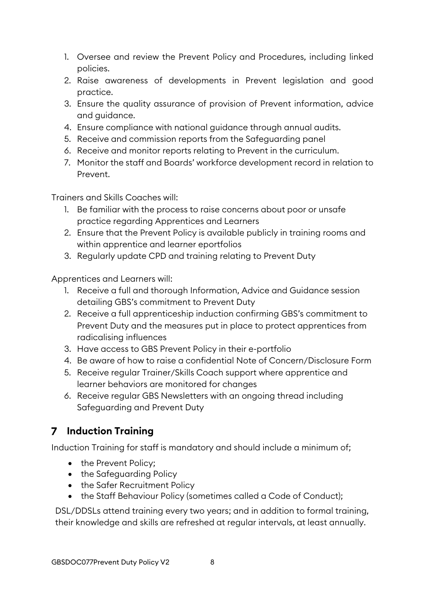- 1. Oversee and review the Prevent Policy and Procedures, including linked policies.
- 2. Raise awareness of developments in Prevent legislation and good practice.
- 3. Ensure the quality assurance of provision of Prevent information, advice and guidance.
- 4. Ensure compliance with national guidance through annual audits.
- 5. Receive and commission reports from the Safeguarding panel
- 6. Receive and monitor reports relating to Prevent in the curriculum.
- 7. Monitor the staff and Boards' workforce development record in relation to Prevent.

Trainers and Skills Coaches will:

- 1. Be familiar with the process to raise concerns about poor or unsafe practice regarding Apprentices and Learners
- 2. Ensure that the Prevent Policy is available publicly in training rooms and within apprentice and learner eportfolios
- 3. Regularly update CPD and training relating to Prevent Duty

Apprentices and Learners will:

- 1. Receive a full and thorough Information, Advice and Guidance session detailing GBS's commitment to Prevent Duty
- 2. Receive a full apprenticeship induction confirming GBS's commitment to Prevent Duty and the measures put in place to protect apprentices from radicalising influences
- 3. Have access to GBS Prevent Policy in their e-portfolio
- 4. Be aware of how to raise a confidential Note of Concern/Disclosure Form
- 5. Receive regular Trainer/Skills Coach support where apprentice and learner behaviors are monitored for changes
- 6. Receive regular GBS Newsletters with an ongoing thread including Safeguarding and Prevent Duty

## **Induction Training**

Induction Training for staff is mandatory and should include a minimum of;

- the Prevent Policy;
- the Safeguarding Policy
- the Safer Recruitment Policy
- the Staff Behaviour Policy (sometimes called a Code of Conduct);

DSL/DDSLs attend training every two years; and in addition to formal training, their knowledge and skills are refreshed at regular intervals, at least annually.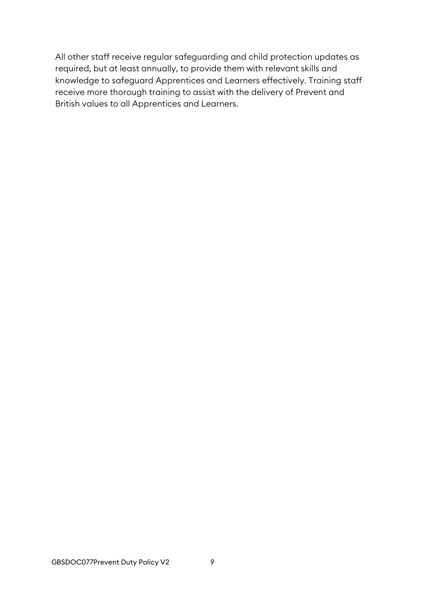All other staff receive regular safeguarding and child protection updates as required, but at least annually, to provide them with relevant skills and knowledge to safeguard Apprentices and Learners effectively. Training staff receive more thorough training to assist with the delivery of Prevent and British values to all Apprentices and Learners.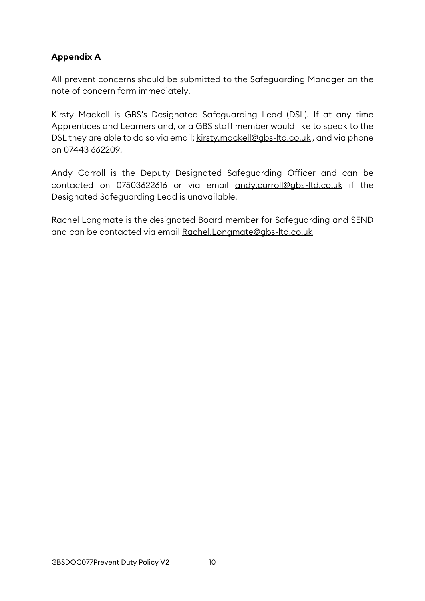#### **Appendix A**

All prevent concerns should be submitted to the Safeguarding Manager on the note of concern form immediately.

Kirsty Mackell is GBS's Designated Safeguarding Lead (DSL). If at any time Apprentices and Learners and, or a GBS staff member would like to speak to the DSL they are able to do so via email; [kirsty.mackell@gbs-ltd.co.uk](mailto:kirsty.mackell@gbs-ltd.co.uk), and via phone on 07443 662209.

Andy Carroll is the Deputy Designated Safeguarding Officer and can be contacted on 07503622616 or via email [andy.carroll@gbs-ltd.co.uk](mailto:andy.carroll@gbs-ltd.co.uk) if the Designated Safeguarding Lead is unavailable.

Rachel Longmate is the designated Board member for Safeguarding and SEND and can be contacted via email [Rachel.Longmate@gbs-ltd.co.uk](mailto:Rachel.Longmate@gbs-ltd.co.uk)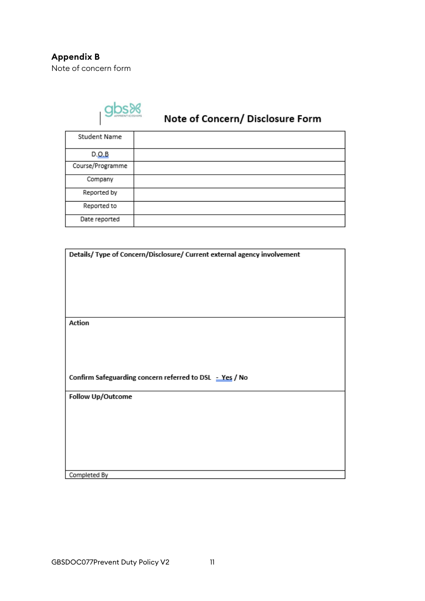

# Note of Concern/ Disclosure Form

| Student Name     |  |
|------------------|--|
| D. Q.B           |  |
| Course/Programme |  |
| Company          |  |
| Reported by      |  |
| Reported to      |  |
| Date reported    |  |

| Details/ Type of Concern/Disclosure/ Current external agency involvement |  |  |
|--------------------------------------------------------------------------|--|--|
|                                                                          |  |  |
|                                                                          |  |  |
|                                                                          |  |  |
|                                                                          |  |  |
|                                                                          |  |  |
| Action                                                                   |  |  |
|                                                                          |  |  |
|                                                                          |  |  |
|                                                                          |  |  |
|                                                                          |  |  |
| Confirm Safeguarding concern referred to DSL = Yes / No                  |  |  |
| Follow Up/Outcome                                                        |  |  |
|                                                                          |  |  |
|                                                                          |  |  |
|                                                                          |  |  |
|                                                                          |  |  |
|                                                                          |  |  |
|                                                                          |  |  |
| Completed By                                                             |  |  |